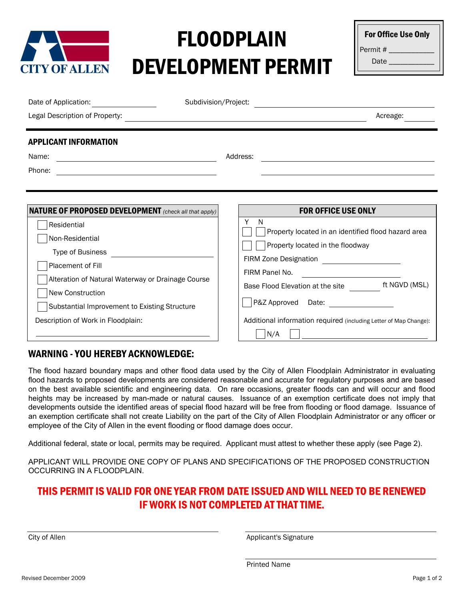

## FLOODPLAIN DEVELOPMENT PERMIT

| <b>For Office Use Only</b> |
|----------------------------|
| Permit #                   |
| Date                       |

| Date of Application: <u>_______________________</u>                                                                                                                                          | Subdivision/Project:                                                                                                                                                                                                          |                                                                                                                                           |  |
|----------------------------------------------------------------------------------------------------------------------------------------------------------------------------------------------|-------------------------------------------------------------------------------------------------------------------------------------------------------------------------------------------------------------------------------|-------------------------------------------------------------------------------------------------------------------------------------------|--|
| Legal Description of Property:                                                                                                                                                               | the control of the control of the control of the control of the control of the control of the control of the control of the control of the control of the control of the control of the control of the control of the control | Acreage:                                                                                                                                  |  |
| <b>APPLICANT INFORMATION</b><br>Name:<br>Phone:<br><u> 1989 - Johann Barn, mars ann an t-Amhain Aonaich an t-Aonaich an t-Aonaich ann an t-Aonaich ann an t-Aonaich</u>                      | Address:                                                                                                                                                                                                                      |                                                                                                                                           |  |
| <b>NATURE OF PROPOSED DEVELOPMENT</b> (check all that apply)<br>Residential<br>Non-Residential<br>Type of Business<br>Placement of Fill<br>Alteration of Natural Waterway or Drainage Course | Y<br>N<br>Property located in the floodway<br>FIRM Panel No.                                                                                                                                                                  | <b>FOR OFFICE USE ONLY</b><br>Property located in an identified flood hazard area                                                         |  |
| New Construction<br>Substantial Improvement to Existing Structure<br>Description of Work in Floodplain:                                                                                      | N/A                                                                                                                                                                                                                           | Base Flood Elevation at the site ft NGVD (MSL)<br>P&Z Approved Date:<br>Additional information required (including Letter of Map Change): |  |

## WARNING - YOU HEREBY ACKNOWLEDGE:

The flood hazard boundary maps and other flood data used by the City of Allen Floodplain Administrator in evaluating flood hazards to proposed developments are considered reasonable and accurate for regulatory purposes and are based on the best available scientific and engineering data. On rare occasions, greater floods can and will occur and flood heights may be increased by man-made or natural causes. Issuance of an exemption certificate does not imply that developments outside the identified areas of special flood hazard will be free from flooding or flood damage. Issuance of an exemption certificate shall not create Liability on the part of the City of Allen Floodplain Administrator or any officer or employee of the City of Allen in the event flooding or flood damage does occur.

Additional federal, state or local, permits may be required. Applicant must attest to whether these apply (see Page 2).

APPLICANT WILL PROVIDE ONE COPY OF PLANS AND SPECIFICATIONS OF THE PROPOSED CONSTRUCTION OCCURRING IN A FLOODPLAIN.

## THIS PERMIT IS VALID FOR ONE YEAR FROM DATE ISSUED AND WILL NEED TO BE RENEWED IF WORK IS NOT COMPLETED AT THAT TIME.

City of Allen **Applicant's Signature City of Allen** 

Printed Name